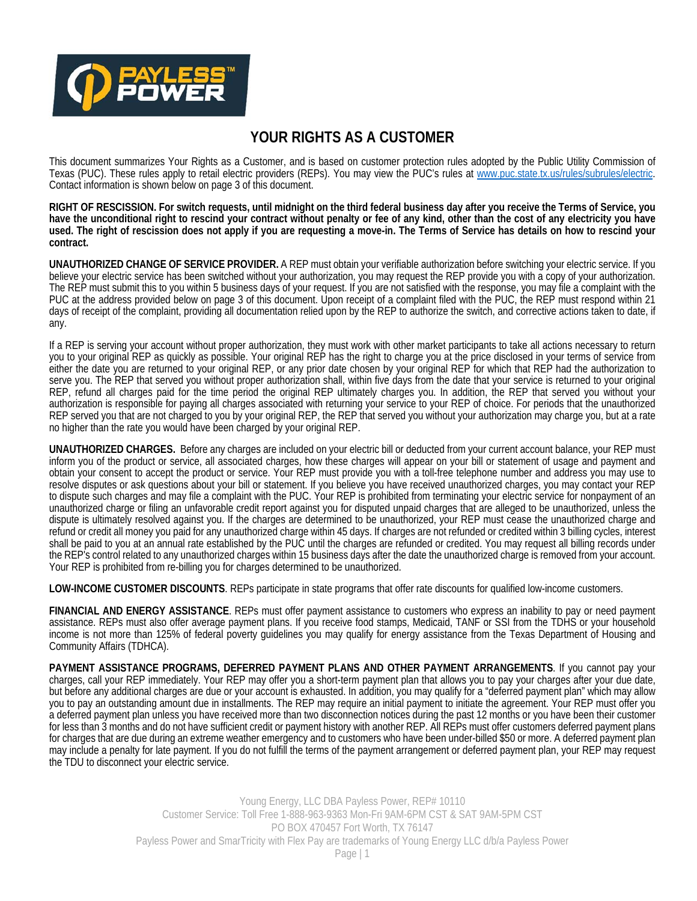

## **YOUR RIGHTS AS A CUSTOMER**

This document summarizes Your Rights as a Customer, and is based on customer protection rules adopted by the Public Utility Commission of Texas (PUC). These rules apply to retail electric providers (REPs). You may view the PUC's rules at www.puc.state.tx.us/rules/subrules/electric. Contact information is shown below on page 3 of this document.

**RIGHT OF RESCISSION. For switch requests, until midnight on the third federal business day after you receive the Terms of Service, you have the unconditional right to rescind your contract without penalty or fee of any kind, other than the cost of any electricity you have used. The right of rescission does not apply if you are requesting a move-in. The Terms of Service has details on how to rescind your contract.** 

**UNAUTHORIZED CHANGE OF SERVICE PROVIDER.** A REP must obtain your verifiable authorization before switching your electric service. If you believe your electric service has been switched without your authorization, you may request the REP provide you with a copy of your authorization. The REP must submit this to you within 5 business days of your request. If you are not satisfied with the response, you may file a complaint with the PUC at the address provided below on page 3 of this document. Upon receipt of a complaint filed with the PUC, the REP must respond within 21 days of receipt of the complaint, providing all documentation relied upon by the REP to authorize the switch, and corrective actions taken to date, if any.

If a REP is serving your account without proper authorization, they must work with other market participants to take all actions necessary to return you to your original REP as quickly as possible. Your original REP has the right to charge you at the price disclosed in your terms of service from either the date you are returned to your original REP, or any prior date chosen by your original REP for which that REP had the authorization to serve you. The REP that served you without proper authorization shall, within five days from the date that your service is returned to your original REP, refund all charges paid for the time period the original REP ultimately charges you. In addition, the REP that served you without your authorization is responsible for paying all charges associated with returning your service to your REP of choice. For periods that the unauthorized REP served you that are not charged to you by your original REP, the REP that served you without your authorization may charge you, but at a rate no higher than the rate you would have been charged by your original REP.

**UNAUTHORIZED CHARGES.** Before any charges are included on your electric bill or deducted from your current account balance, your REP must inform you of the product or service, all associated charges, how these charges will appear on your bill or statement of usage and payment and obtain your consent to accept the product or service. Your REP must provide you with a toll-free telephone number and address you may use to resolve disputes or ask questions about your bill or statement. If you believe you have received unauthorized charges, you may contact your REP to dispute such charges and may file a complaint with the PUC. Your REP is prohibited from terminating your electric service for nonpayment of an unauthorized charge or filing an unfavorable credit report against you for disputed unpaid charges that are alleged to be unauthorized, unless the dispute is ultimately resolved against you. If the charges are determined to be unauthorized, your REP must cease the unauthorized charge and refund or credit all money you paid for any unauthorized charge within 45 days. If charges are not refunded or credited within 3 billing cycles, interest shall be paid to you at an annual rate established by the PUC until the charges are refunded or credited. You may request all billing records under the REP's control related to any unauthorized charges within 15 business days after the date the unauthorized charge is removed from your account. Your REP is prohibited from re-billing you for charges determined to be unauthorized.

**LOW-INCOME CUSTOMER DISCOUNTS**. REPs participate in state programs that offer rate discounts for qualified low-income customers.

**FINANCIAL AND ENERGY ASSISTANCE**. REPs must offer payment assistance to customers who express an inability to pay or need payment assistance. REPs must also offer average payment plans. If you receive food stamps, Medicaid, TANF or SSI from the TDHS or your household income is not more than 125% of federal poverty guidelines you may qualify for energy assistance from the Texas Department of Housing and Community Affairs (TDHCA).

**PAYMENT ASSISTANCE PROGRAMS, DEFERRED PAYMENT PLANS AND OTHER PAYMENT ARRANGEMENTS**. If you cannot pay your charges, call your REP immediately. Your REP may offer you a short-term payment plan that allows you to pay your charges after your due date, but before any additional charges are due or your account is exhausted. In addition, you may qualify for a "deferred payment plan" which may allow you to pay an outstanding amount due in installments. The REP may require an initial payment to initiate the agreement. Your REP must offer you a deferred payment plan unless you have received more than two disconnection notices during the past 12 months or you have been their customer for less than 3 months and do not have sufficient credit or payment history with another REP. All REPs must offer customers deferred payment plans for charges that are due during an extreme weather emergency and to customers who have been under-billed \$50 or more. A deferred payment plan may include a penalty for late payment. If you do not fulfill the terms of the payment arrangement or deferred payment plan, your REP may request the TDU to disconnect your electric service.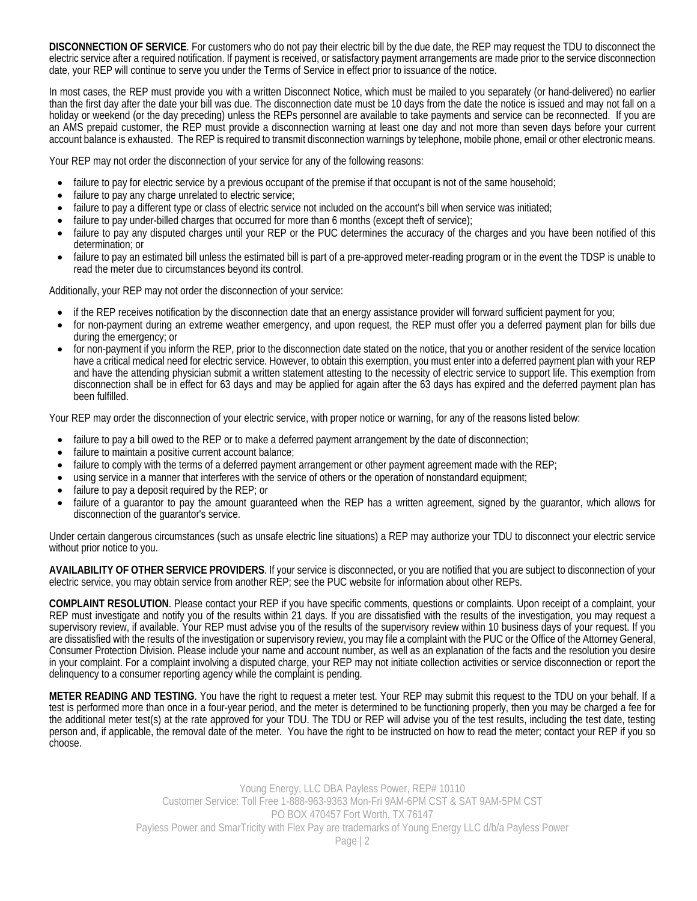**DISCONNECTION OF SERVICE**. For customers who do not pay their electric bill by the due date, the REP may request the TDU to disconnect the electric service after a required notification. If payment is received, or satisfactory payment arrangements are made prior to the service disconnection date, your REP will continue to serve you under the Terms of Service in effect prior to issuance of the notice.

In most cases, the REP must provide you with a written Disconnect Notice, which must be mailed to you separately (or hand-delivered) no earlier than the first day after the date your bill was due. The disconnection date must be 10 days from the date the notice is issued and may not fall on a holiday or weekend (or the day preceding) unless the REPs personnel are available to take payments and service can be reconnected. If you are an AMS prepaid customer, the REP must provide a disconnection warning at least one day and not more than seven days before your current account balance is exhausted. The REP is required to transmit disconnection warnings by telephone, mobile phone, email or other electronic means.

Your REP may not order the disconnection of your service for any of the following reasons:

- failure to pay for electric service by a previous occupant of the premise if that occupant is not of the same household;
- failure to pay any charge unrelated to electric service;
- failure to pay a different type or class of electric service not included on the account's bill when service was initiated;
- failure to pay under-billed charges that occurred for more than 6 months (except theft of service);
- failure to pay any disputed charges until your REP or the PUC determines the accuracy of the charges and you have been notified of this determination; or
- failure to pay an estimated bill unless the estimated bill is part of a pre-approved meter-reading program or in the event the TDSP is unable to read the meter due to circumstances beyond its control.

Additionally, your REP may not order the disconnection of your service:

- if the REP receives notification by the disconnection date that an energy assistance provider will forward sufficient payment for you;
- for non-payment during an extreme weather emergency, and upon request, the REP must offer you a deferred payment plan for bills due during the emergency; or
- for non-payment if you inform the REP, prior to the disconnection date stated on the notice, that you or another resident of the service location have a critical medical need for electric service. However, to obtain this exemption, you must enter into a deferred payment plan with your REP and have the attending physician submit a written statement attesting to the necessity of electric service to support life. This exemption from disconnection shall be in effect for 63 days and may be applied for again after the 63 days has expired and the deferred payment plan has been fulfilled.

Your REP may order the disconnection of your electric service, with proper notice or warning, for any of the reasons listed below:

- failure to pay a bill owed to the REP or to make a deferred payment arrangement by the date of disconnection;
- failure to maintain a positive current account balance;
- $\bullet$  failure to comply with the terms of a deferred payment arrangement or other payment agreement made with the REP;
- using service in a manner that interferes with the service of others or the operation of nonstandard equipment;
- failure to pay a deposit required by the REP; or
- failure of a guarantor to pay the amount guaranteed when the REP has a written agreement, signed by the guarantor, which allows for disconnection of the guarantor's service.

Under certain dangerous circumstances (such as unsafe electric line situations) a REP may authorize your TDU to disconnect your electric service without prior notice to you.

**AVAILABILITY OF OTHER SERVICE PROVIDERS**. If your service is disconnected, or you are notified that you are subject to disconnection of your electric service, you may obtain service from another REP; see the PUC website for information about other REPs.

**COMPLAINT RESOLUTION**. Please contact your REP if you have specific comments, questions or complaints. Upon receipt of a complaint, your REP must investigate and notify you of the results within 21 days. If you are dissatisfied with the results of the investigation, you may request a supervisory review, if available. Your REP must advise you of the results of the supervisory review within 10 business days of your request. If you are dissatisfied with the results of the investigation or supervisory review, you may file a complaint with the PUC or the Office of the Attorney General, Consumer Protection Division. Please include your name and account number, as well as an explanation of the facts and the resolution you desire in your complaint. For a complaint involving a disputed charge, your REP may not initiate collection activities or service disconnection or report the delinquency to a consumer reporting agency while the complaint is pending.

**METER READING AND TESTING**. You have the right to request a meter test. Your REP may submit this request to the TDU on your behalf. If a test is performed more than once in a four-year period, and the meter is determined to be functioning properly, then you may be charged a fee for the additional meter test(s) at the rate approved for your TDU. The TDU or REP will advise you of the test results, including the test date, testing person and, if applicable, the removal date of the meter. You have the right to be instructed on how to read the meter; contact your REP if you so choose.

> Young Energy, LLC DBA Payless Power, REP# 10110 Customer Service: Toll Free 1-888-963-9363 Mon-Fri 9AM-6PM CST & SAT 9AM-5PM CST PO BOX 470457 Fort Worth, TX 76147 Payless Power and SmarTricity with Flex Pay are trademarks of Young Energy LLC d/b/a Payless Power Page | 2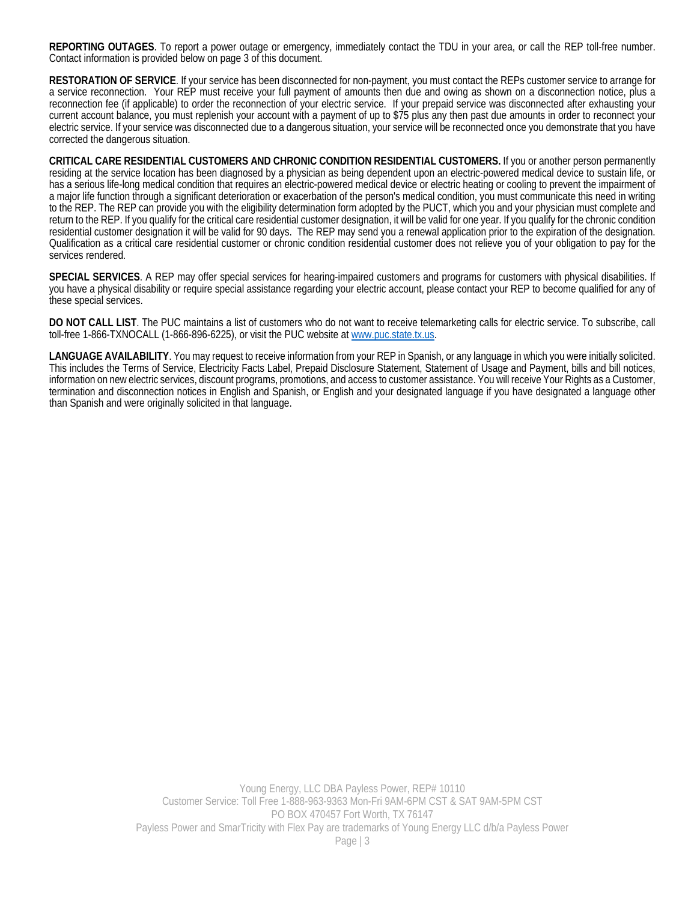**REPORTING OUTAGES**. To report a power outage or emergency, immediately contact the TDU in your area, or call the REP toll-free number. Contact information is provided below on page 3 of this document.

**RESTORATION OF SERVICE**. If your service has been disconnected for non-payment, you must contact the REPs customer service to arrange for a service reconnection. Your REP must receive your full payment of amounts then due and owing as shown on a disconnection notice, plus a reconnection fee (if applicable) to order the reconnection of your electric service. If your prepaid service was disconnected after exhausting your current account balance, you must replenish your account with a payment of up to \$75 plus any then past due amounts in order to reconnect your electric service. If your service was disconnected due to a dangerous situation, your service will be reconnected once you demonstrate that you have corrected the dangerous situation.

**CRITICAL CARE RESIDENTIAL CUSTOMERS AND CHRONIC CONDITION RESIDENTIAL CUSTOMERS.** If you or another person permanently residing at the service location has been diagnosed by a physician as being dependent upon an electric-powered medical device to sustain life, or has a serious life-long medical condition that requires an electric-powered medical device or electric heating or cooling to prevent the impairment of a major life function through a significant deterioration or exacerbation of the person's medical condition, you must communicate this need in writing to the REP. The REP can provide you with the eligibility determination form adopted by the PUCT, which you and your physician must complete and return to the REP. If you qualify for the critical care residential customer designation, it will be valid for one year. If you qualify for the chronic condition residential customer designation it will be valid for 90 days. The REP may send you a renewal application prior to the expiration of the designation. Qualification as a critical care residential customer or chronic condition residential customer does not relieve you of your obligation to pay for the services rendered.

**SPECIAL SERVICES**. A REP may offer special services for hearing-impaired customers and programs for customers with physical disabilities. If you have a physical disability or require special assistance regarding your electric account, please contact your REP to become qualified for any of these special services.

**DO NOT CALL LIST**. The PUC maintains a list of customers who do not want to receive telemarketing calls for electric service. To subscribe, call toll-free 1-866-TXNOCALL (1-866-896-6225), or visit the PUC website at www.puc.state.tx.us.

**LANGUAGE AVAILABILITY**. You may request to receive information from your REP in Spanish, or any language in which you were initially solicited. This includes the Terms of Service, Electricity Facts Label, Prepaid Disclosure Statement, Statement of Usage and Payment, bills and bill notices, information on new electric services, discount programs, promotions, and access to customer assistance. You will receive Your Rights as a Customer, termination and disconnection notices in English and Spanish, or English and your designated language if you have designated a language other than Spanish and were originally solicited in that language.